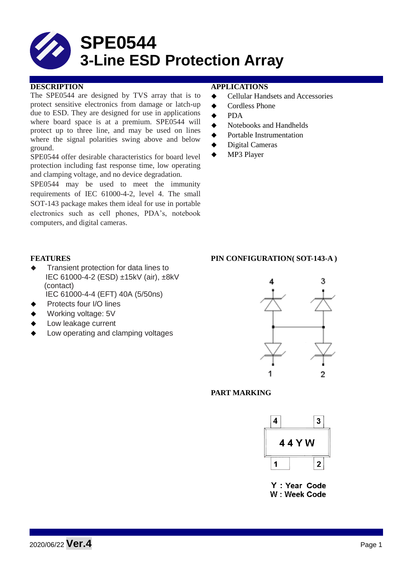

## **DESCRIPTION APPLICATIONS**

The SPE0544 are designed by TVS array that is to protect sensitive electronics from damage or latch-up due to ESD. They are designed for use in applications where board space is at a premium. SPE0544 will protect up to three line, and may be used on lines where the signal polarities swing above and below ground.

SPE0544 offer desirable characteristics for board level protection including fast response time, low operating and clamping voltage, and no device degradation.

SPE0544 may be used to meet the immunity requirements of IEC 61000-4-2, level 4. The small SOT-143 package makes them ideal for use in portable electronics such as cell phones, PDA's, notebook computers, and digital cameras.

- **←** Cellular Handsets and Accessories
- ◆ Cordless Phone
- $\triangle$  PDA
- ◆ Notebooks and Handhelds
- Portable Instrumentation
- Digital Cameras
- ◆ MP3 Player

- **Transient protection for data lines to** IEC 61000-4-2 (ESD) ±15kV (air), ±8kV (contact) IEC 61000-4-4 (EFT) 40A (5/50ns)
	- Protects four I/O lines
- 
- Working voltage: 5V
- Low leakage current
- Low operating and clamping voltages

## **FEATURES PIN CONFIGURATION( SOT-143-A )**



# **PART MARKING**



Y: Year Code W: Week Code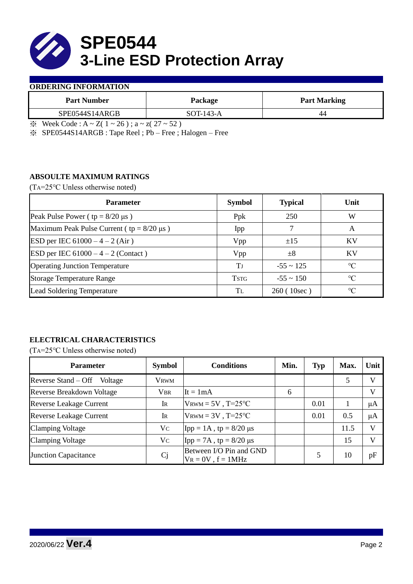

### **ORDERING INFORMATION**

| <b>Part Number</b> | Package                | <b>Part Marking</b> |  |  |
|--------------------|------------------------|---------------------|--|--|
| SPE0544S14ARGB     | $SOT-143-A$            | 44                  |  |  |
|                    | $\sim$ $\sim$<br>$  -$ |                     |  |  |

 $\frac{1}{2}$  Week Code : A ~ Z( 1 ~ 26); a ~ z( 27 ~ 52)

※ SPE0544S14ARGB : Tape Reel ; Pb – Free ; Halogen – Free

# **ABSOULTE MAXIMUM RATINGS**

(TA=25℃ Unless otherwise noted)

| <b>Parameter</b>                                 | <b>Symbol</b> | <b>Typical</b> | Unit            |
|--------------------------------------------------|---------------|----------------|-----------------|
| Peak Pulse Power ( $tp = 8/20 \mu s$ )           | Ppk           | 250            | W               |
| Maximum Peak Pulse Current ( $tp = 8/20 \mu s$ ) | Ipp           |                | A               |
| ESD per IEC $61000 - 4 - 2$ (Air)                | Vpp           | ±15            | <b>KV</b>       |
| <b>ESD</b> per IEC $61000 - 4 - 2$ (Contact)     | Vpp           | $\pm 8$        | KV              |
| <b>Operating Junction Temperature</b>            | Tі            | $-55 \sim 125$ | $\rm ^{\circ}C$ |
| <b>Storage Temperature Range</b>                 | <b>TSTG</b>   | $-55 \sim 150$ | $\rm ^{\circ}C$ |
| Lead Soldering Temperature                       | Tī.           | 260(10sec)     | $\rm ^{\circ}C$ |

# **ELECTRICAL CHARACTERISTICS**

(TA=25℃ Unless otherwise noted)

| <b>Parameter</b>                 | <b>Symbol</b>  | <b>Conditions</b>                                  | Min. | Typ  | Max. | Unit         |
|----------------------------------|----------------|----------------------------------------------------|------|------|------|--------------|
| Reverse Stand – Off<br>Voltage   | Vrwm           |                                                    |      |      |      |              |
| <b>Reverse Breakdown Voltage</b> | <b>VBR</b>     | $It = 1mA$                                         | 6    |      |      | V            |
| <b>Reverse Leakage Current</b>   | IR             | $V_{\text{RWM}} = 5V$ , T=25°C                     |      | 0.01 |      | μA           |
| <b>Reverse Leakage Current</b>   | $\rm I\!R$     | $V_{\text{RWM}} = 3V$ , T=25°C                     |      | 0.01 | 0.5  | $\mu A$      |
| <b>Clamping Voltage</b>          | Vc             | $\text{Ipp} = 1 \text{A}$ , tp = 8/20 µs           |      |      | 11.5 | $\mathbf{V}$ |
| <b>Clamping Voltage</b>          | V <sub>C</sub> | $Ipp = 7A$ , tp = 8/20 μs                          |      |      | 15   |              |
| <b>Junction Capacitance</b>      | Cj             | Between I/O Pin and GND<br>$V_R = 0V$ , $f = 1MHz$ |      |      | 10   | pF           |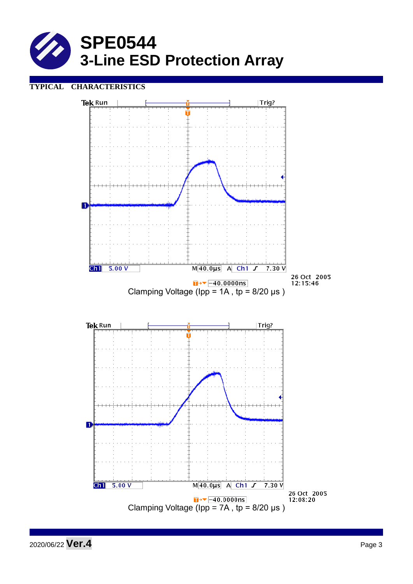

# **TYPICAL CHARACTERISTICS**



2020/06/22 **Ver.4** Page <sup>3</sup>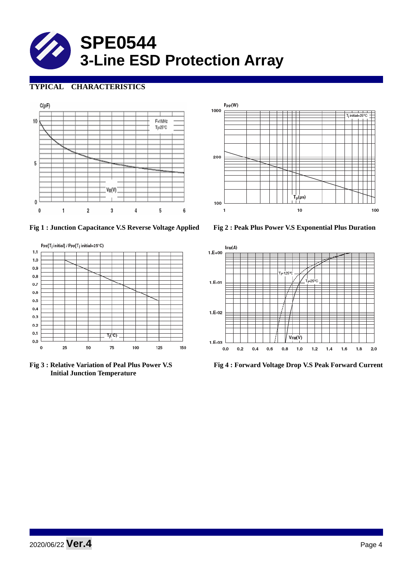

# **TYPICAL CHARACTERISTICS**





**Fig 1 : Junction Capacitance V.S Reverse Voltage Applied Fig 2 : Peak Plus Power V.S Exponential Plus Duration**



 **Initial Junction Temperature** 



**Fig 3 : Relative Variation of Peal Plus Power V.S Fig 4 : Forward Voltage Drop V.S Peak Forward Current**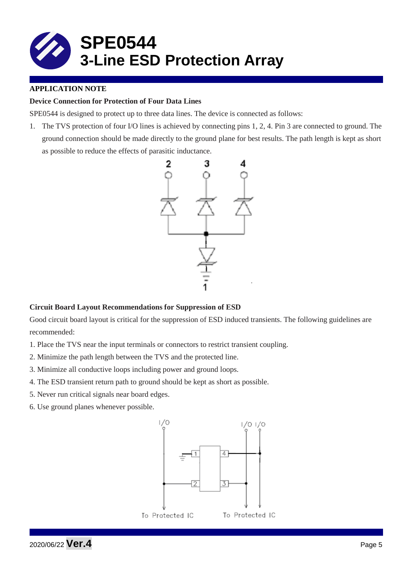

# **APPLICATION NOTE**

## **Device Connection for Protection of Four Data Lines**

SPE0544 is designed to protect up to three data lines. The device is connected as follows:

1. The TVS protection of four I/O lines is achieved by connecting pins 1, 2, 4. Pin 3 are connected to ground. The ground connection should be made directly to the ground plane for best results. The path length is kept as short as possible to reduce the effects of parasitic inductance.



## **Circuit Board Layout Recommendations for Suppression of ESD**

Good circuit board layout is critical for the suppression of ESD induced transients. The following guidelines are recommended:

- 1. Place the TVS near the input terminals or connectors to restrict transient coupling.
- 2. Minimize the path length between the TVS and the protected line.
- 3. Minimize all conductive loops including power and ground loops.
- 4. The ESD transient return path to ground should be kept as short as possible.
- 5. Never run critical signals near board edges.
- 6. Use ground planes whenever possible.